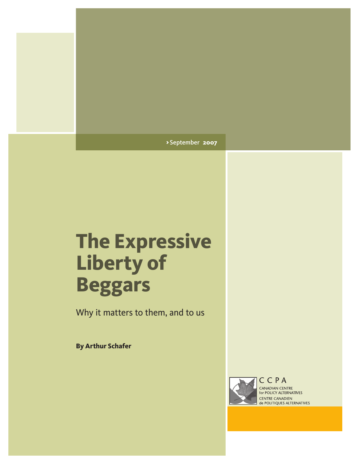> September **2007**

# **The Expressive Liberty of Beggars**

Why it matters to them, and to us

**By Arthur Schafer**



CANADIAN CENTRE for POLICY ALTERNATIVES **CENTRE CANADIEN<br>de POLITIQUES ALTERNATIVES**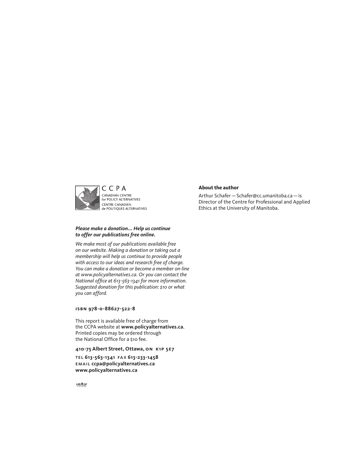

#### *Please make a donation... Help us continue to offer our publications free online.*

*We make most of our publications available free on our website. Making a donation or taking out a membership will help us continue to provide people with access to our ideas and research free of charge. You can make a donation or become a member on-line at [www.policyalternatives.ca.](www.policyalternatives.ca) Or you can contact the National office at 613-563-1341 for more information. Suggested donation for this publication: \$10 or what you can afford.*

#### **isbn 978-0-88627-522-8**

This report is available free of charge from the CCPA website at **<www.policyalternatives.ca>**. Printed copies may be ordered through the National Office for a \$10 fee.

#### **410-75 Albert Street, Ottawa, on k1p 5e7**

tel **613-563-1341** fax **613-233-1458** email **ccpa@policyalternatives.ca <www.policyalternatives.ca>**

#### **About the author**

Arthur Schafer—Schafer@cc.umanitoba.ca—is Director of the Centre for Professional and Applied Ethics at the University of Manitoba.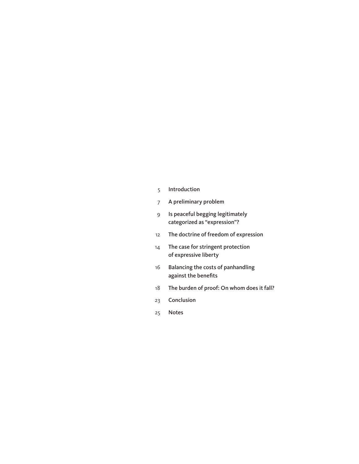- [Introduction](#page-4-0)
- [A preliminary problem](#page-6-0)
- [Is peaceful begging legitimately](#page-8-0)  [categorized as "expression"?](#page-8-0)
- [The doctrine of freedom of expression](#page-11-0)
- [The case for stringent protection](#page-13-0)  [of expressive liberty](#page-13-0)
- [Balancing the costs of panhandling](#page-15-0)  [against the benefits](#page-15-0)
- [The burden of proof: On whom does it fall?](#page-17-0)
- [Conclusion](#page-22-0)
- [Notes](#page-24-0)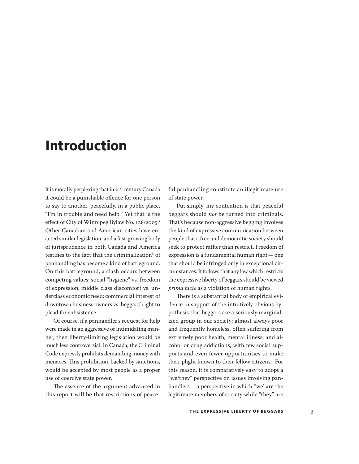### <span id="page-4-0"></span>**Introduction**

It is morally perplexing that in 21st century Canada it could be a punishable offence for one person to say to another, peacefully, in a public place, "I'm in trouble and need help." Yet that is the effect of City of Winnipeg Bylaw No. 128/2005.<sup>1</sup> Other Canadian and American cities have enacted similar legislation, and a fast-growing body of jurisprudence in both Canada and America testifies to the fact that the criminalization<sup>2</sup> of panhandling has become a kind of battleground. On this battleground, a clash occurs between competing values: social "hygiene" vs. freedom of expression; middle class discomfort vs. underclass economic need; commercial interest of downtown business owners vs. beggars' right to plead for subsistence.

Of course, if a panhandler's request for help were made in an aggressive or intimidating manner, then liberty-limiting legislation would be much less controversial. In Canada, the Criminal Code expressly prohibits demanding money with menaces. This prohibition, backed by sanctions, would be accepted by most people as a proper use of coercive state power.

The essence of the argument advanced in this report will be that restrictions of peace-

ful panhandling constitute an illegitimate use of state power.

Put simply, my contention is that peaceful beggars should *not* be turned into criminals. That's because non-aggressive begging involves the kind of expressive communication between people that a free and democratic society should seek to protect rather than restrict. Freedom of expression is a fundamental human right—one that should be infringed only in exceptional circumstances. It follows that any law which restricts the expressive liberty of beggars should be viewed *prima facie* as a violation of human rights.

There is a substantial body of empirical evidence in support of the intuitively obvious hypothesis that beggars are a seriously marginalized group in our society: almost always poor and frequently homeless, often suffering from extremely poor health, mental illness, and alcohol or drug addictions, with few social supports and even fewer opportunities to make their plight known to their fellow citizens.<sup>3</sup> For this reason, it is comparatively easy to adopt a "we/they" perspective on issues involving panhandlers—a perspective in which "we' are the legitimate members of society while "they" are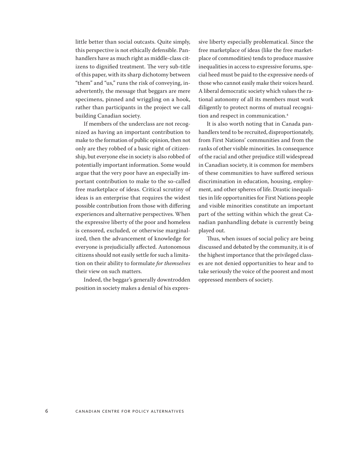little better than social outcasts. Quite simply, this perspective is not ethically defensible. Panhandlers have as much right as middle-class citizens to dignified treatment. The very sub-title of this paper, with its sharp dichotomy between "them" and "us," runs the risk of conveying, inadvertently, the message that beggars are mere specimens, pinned and wriggling on a hook, rather than participants in the project we call building Canadian society.

If members of the underclass are not recognized as having an important contribution to make to the formation of public opinion, then not only are they robbed of a basic right of citizenship, but everyone else in society is also robbed of potentially important information. Some would argue that the very poor have an especially important contribution to make to the so-called free marketplace of ideas. Critical scrutiny of ideas is an enterprise that requires the widest possible contribution from those with differing experiences and alternative perspectives. When the expressive liberty of the poor and homeless is censored, excluded, or otherwise marginalized, then the advancement of knowledge for everyone is prejudicially affected. Autonomous citizens should not easily settle for such a limitation on their ability to formulate *for themselves* their view on such matters.

Indeed, the beggar's generally downtrodden position in society makes a denial of his expressive liberty especially problematical. Since the free marketplace of ideas (like the free marketplace of commodities) tends to produce massive inequalities in access to expressive forums, special heed must be paid to the expressive needs of those who cannot easily make their voices heard. A liberal democratic society which values the rational autonomy of all its members must work diligently to protect norms of mutual recognition and respect in communication.<sup>4</sup>

It is also worth noting that in Canada panhandlers tend to be recruited, disproportionately, from First Nations' communities and from the ranks of other visible minorities. In consequence of the racial and other prejudice still widespread in Canadian society, it is common for members of these communities to have suffered serious discrimination in education, housing, employment, and other spheres of life. Drastic inequalities in life opportunities for First Nations people and visible minorities constitute an important part of the setting within which the great Canadian panhandling debate is currently being played out.

Thus, when issues of social policy are being discussed and debated by the community, it is of the highest importance that the privileged classes are not denied opportunities to hear and to take seriously the voice of the poorest and most oppressed members of society.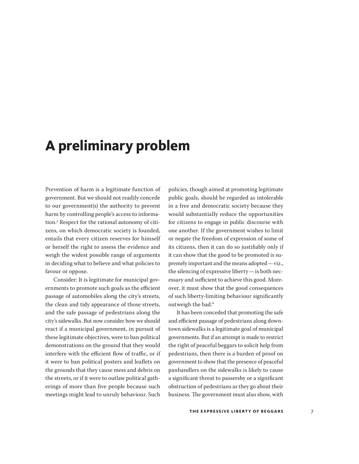### <span id="page-6-0"></span>**A preliminary problem**

Prevention of harm is a legitimate function of government. But we should not readily concede to our government(s) the authority to prevent harm by controlling people's access to information.<sup>5</sup> Respect for the rational autonomy of citizens, on which democratic society is founded, entails that every citizen reserves for himself or herself the right to assess the evidence and weigh the widest possible range of arguments in deciding what to believe and what policies to favour or oppose.

Consider: It is legitimate for municipal governments to promote such goals as the efficient passage of automobiles along the city's streets, the clean and tidy appearance of those streets, and the safe passage of pedestrians along the city's sidewalks. But now consider how we should react if a municipal government, in pursuit of these legitimate objectives, were to ban political demonstrations on the ground that they would interfere with the efficient flow of traffic, or if it were to ban political posters and leaflets on the grounds that they cause mess and debris on the streets, or if it were to outlaw political gatherings of more than five people because such meetings might lead to unruly behaviour. Such

policies, though aimed at promoting legitimate public goals, should be regarded as intolerable in a free and democratic society because they would substantially reduce the opportunities for citizens to engage in public discourse with one another. If the government wishes to limit or negate the freedom of expression of some of its citizens, then it can do so justifiably only if it can show that the good to be promoted is supremely important and the means adopted—viz., the silencing of expressive liberty—is both necessary and sufficient to achieve this good. Moreover, it must show that the good consequences of such liberty-limiting behaviour significantly outweigh the bad.<sup>6</sup>

It has been conceded that promoting the safe and efficient passage of pedestrians along downtown sidewalks is a legitimate goal of municipal governments. But if an attempt is made to restrict the right of peaceful beggars to solicit help from pedestrians, then there is a burden of proof on government to show that the presence of peaceful panhandlers on the sidewalks is likely to cause a significant threat to passersby or a significant obstruction of pedestrians as they go about their business. The government must also show, with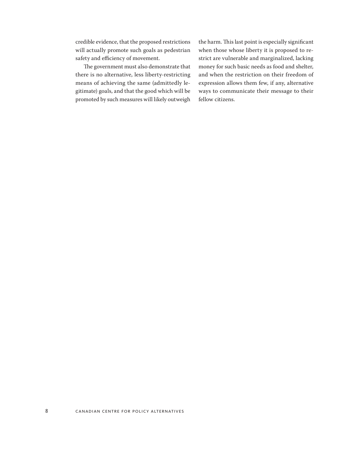credible evidence, that the proposed restrictions will actually promote such goals as pedestrian safety and efficiency of movement.

The government must also demonstrate that there is no alternative, less liberty-restricting means of achieving the same (admittedly legitimate) goals, and that the good which will be promoted by such measures will likely outweigh the harm. This last point is especially significant when those whose liberty it is proposed to restrict are vulnerable and marginalized, lacking money for such basic needs as food and shelter, and when the restriction on their freedom of expression allows them few, if any, alternative ways to communicate their message to their fellow citizens.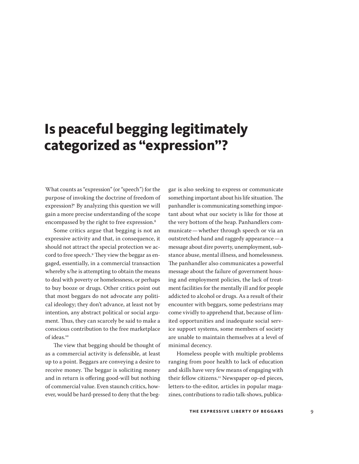### <span id="page-8-0"></span>**Is peaceful begging legitimately categorized as "expression"?**

What counts as "expression" (or "speech") for the purpose of invoking the doctrine of freedom of expression?<sup>7</sup> By analyzing this question we will gain a more precise understanding of the scope encompassed by the right to free expression.<sup>8</sup>

Some critics argue that begging is not an expressive activity and that, in consequence, it should not attract the special protection we accord to free speech.<sup>9</sup> They view the beggar as engaged, essentially, in a commercial transaction whereby s/he is attempting to obtain the means to deal with poverty or homelessness, or perhaps to buy booze or drugs. Other critics point out that most beggars do not advocate any political ideology; they don't advance, at least not by intention, any abstract political or social argument. Thus, they can scarcely be said to make a conscious contribution to the free marketplace of ideas.<sup>10</sup>

The view that begging should be thought of as a commercial activity is defensible, at least up to a point. Beggars are conveying a desire to receive money. The beggar is soliciting money and in return is offering good-will but nothing of commercial value. Even staunch critics, however, would be hard-pressed to deny that the beggar is also seeking to express or communicate something important about his life situation. The panhandler is communicating something important about what our society is like for those at the very bottom of the heap. Panhandlers communicate—whether through speech or via an outstretched hand and raggedy appearance—a message about dire poverty, unemployment, substance abuse, mental illness, and homelessness. The panhandler also communicates a powerful message about the failure of government housing and employment policies, the lack of treatment facilities for the mentally ill and for people addicted to alcohol or drugs. As a result of their encounter with beggars, some pedestrians may come vividly to apprehend that, because of limited opportunities and inadequate social service support systems, some members of society are unable to maintain themselves at a level of minimal decency.

Homeless people with multiple problems ranging from poor health to lack of education and skills have very few means of engaging with their fellow citizens.<sup>11</sup> Newspaper op-ed pieces, letters-to-the-editor, articles in popular magazines, contributions to radio talk-shows, publica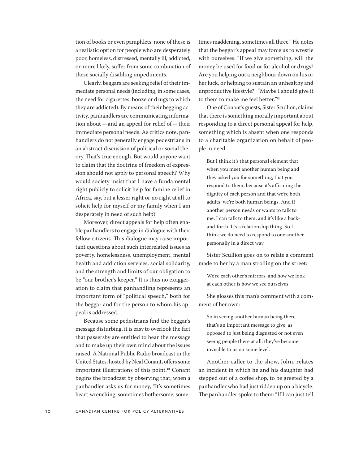tion of books or even pamphlets: none of these is a realistic option for people who are desperately poor, homeless, distressed, mentally ill, addicted, or, more likely, suffer from some combination of these socially disabling impediments.

Clearly, beggars are seeking relief of their immediate personal needs (including, in some cases, the need for cigarettes, booze or drugs to which they are addicted). By means of their begging activity, panhandlers are communicating information about—and an appeal for relief of—their immediate personal needs. As critics note, panhandlers do not generally engage pedestrians in an abstract discussion of political or social theory. That's true enough. But would anyone want to claim that the doctrine of freedom of expression should not apply to personal speech? Why would society insist that I have a fundamental right publicly to solicit help for famine relief in Africa, say, but a lesser right or no right at all to solicit help for myself or my family when I am desperately in need of such help?

Moreover, direct appeals for help often enable panhandlers to engage in dialogue with their fellow citizens. This dialogue may raise important questions about such interrelated issues as poverty, homelessness, unemployment, mental health and addiction services, social solidarity, and the strength and limits of our obligation to be "our brother's keeper." It is thus no exaggeration to claim that panhandling represents an important form of "political speech," both for the beggar and for the person to whom his appeal is addressed.

Because some pedestrians find the beggar's message disturbing, it is easy to overlook the fact that passersby are entitled to hear the message and to make up their own mind about the issues raised. A National Public Radio broadcast in the United States, hosted by Neal Conant, offers some important illustrations of this point.<sup>12</sup> Conant begins the broadcast by observing that, when a panhandler asks us for money, "It's sometimes heart-wrenching, sometimes bothersome, sometimes maddening, sometimes all three." He notes that the beggar's appeal may force us to wrestle with ourselves: "If we give something, will the money be used for food or for alcohol or drugs? Are you helping out a neighbour down on his or her luck, or helping to sustain an unhealthy and unproductive lifestyle?" "Maybe I should give it to them to make me feel better."<sup>13</sup>

One of Conant's guests, Sister Scullion, claims that there is something morally important about responding to a direct personal appeal for help, something which is absent when one responds to a charitable organization on behalf of people in need:

But I think it's that personal element that when you meet another human being and they asked you for something, that you respond to them, because it's affirming the dignity of each person and that we're both adults, we're both human beings. And if another person needs or wants to talk to me, I can talk to them, and it's like a backand-forth. It's a relationship thing. So I think we do need to respond to one another personally in a direct way.

Sister Scullion goes on to relate a comment made to her by a man strolling on the street:

We're each other's mirrors, and how we look at each other is how we see ourselves.

She glosses this man's comment with a comment of her own:

So in seeing another human being there, that's an important message to give, as opposed to just being disgusted or not even seeing people there at all; they've become invisible to us on some level.

Another caller to the show, John, relates an incident in which he and his daughter had stepped out of a coffee shop, to be greeted by a panhandler who had just ridden up on a bicycle. The panhandler spoke to them: "If I can just tell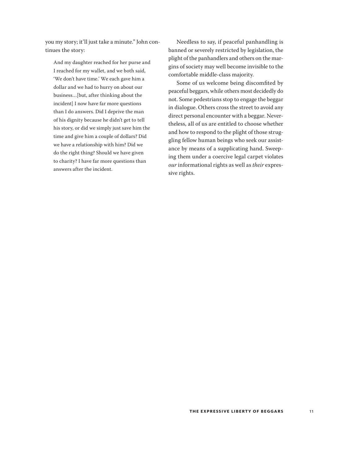you my story; it'll just take a minute." John continues the story:

And my daughter reached for her purse and I reached for my wallet, and we both said, 'We don't have time.' We each gave him a dollar and we had to hurry on about our business…[but, after thinking about the incident] I now have far more questions than I do answers. Did I deprive the man of his dignity because he didn't get to tell his story, or did we simply just save him the time and give him a couple of dollars? Did we have a relationship with him? Did we do the right thing? Should we have given to charity? I have far more questions than answers after the incident.

Needless to say, if peaceful panhandling is banned or severely restricted by legislation, the plight of the panhandlers and others on the margins of society may well become invisible to the comfortable middle-class majority.

Some of us welcome being discomfited by peaceful beggars, while others most decidedly do not. Some pedestrians stop to engage the beggar in dialogue. Others cross the street to avoid any direct personal encounter with a beggar. Nevertheless, all of us are entitled to choose whether and how to respond to the plight of those struggling fellow human beings who seek our assistance by means of a supplicating hand. Sweeping them under a coercive legal carpet violates *our* informational rights as well as *their* expressive rights.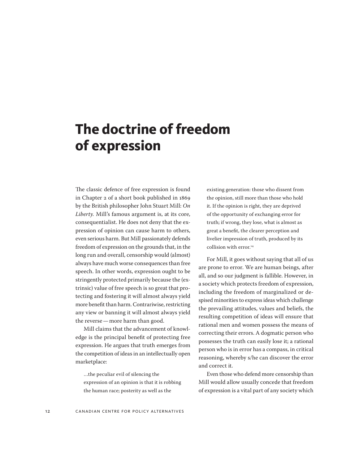# <span id="page-11-0"></span>**The doctrine of freedom of expression**

The classic defence of free expression is found in Chapter 2 of a short book published in 1869 by the British philosopher John Stuart Mill: *On Liberty.* Mill's famous argument is, at its core, consequentialist. He does not deny that the expression of opinion can cause harm to others, even serious harm. But Mill passionately defends freedom of expression on the grounds that, in the long run and overall, censorship would (almost) always have much worse consequences than free speech. In other words, expression ought to be stringently protected primarily because the (extrinsic) value of free speech is so great that protecting and fostering it will almost always yield more benefit than harm. Contrariwise, restricting any view or banning it will almost always yield the reverse—more harm than good.

Mill claims that the advancement of knowledge is the principal benefit of protecting free expression. He argues that truth emerges from the competition of ideas in an intellectually open marketplace:

…the peculiar evil of silencing the expression of an opinion is that it is robbing the human race; posterity as well as the

existing generation: those who dissent from the opinion, still more than those who hold it. If the opinion is right, they are deprived of the opportunity of exchanging error for truth; if wrong, they lose, what is almost as great a benefit, the clearer perception and livelier impression of truth, produced by its collision with error.<sup>14</sup>

For Mill, it goes without saying that all of us are prone to error. We are human beings, after all, and so our judgment is fallible. However, in a society which protects freedom of expression, including the freedom of marginalized or despised minorities to express ideas which challenge the prevailing attitudes, values and beliefs, the resulting competition of ideas will ensure that rational men and women possess the means of correcting their errors. A dogmatic person who possesses the truth can easily lose it; a rational person who is in error has a compass, in critical reasoning, whereby s/he can discover the error and correct it.

Even those who defend more censorship than Mill would allow usually concede that freedom of expression is a vital part of any society which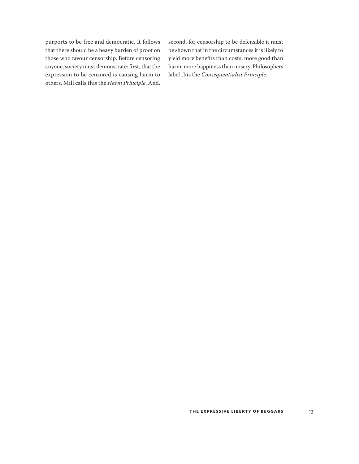purports to be free and democratic. It follows that there should be a heavy burden of proof on those who favour censorship. Before censoring anyone, society must demonstrate: first, that the expression to be censored is causing harm to others. Mill calls this the *Harm Principle*. And, second, for censorship to be defensible it must be shown that in the circumstances it is likely to yield more benefits than costs, more good than harm, more happiness than misery. Philosophers label this the *Consequentialist Principle*.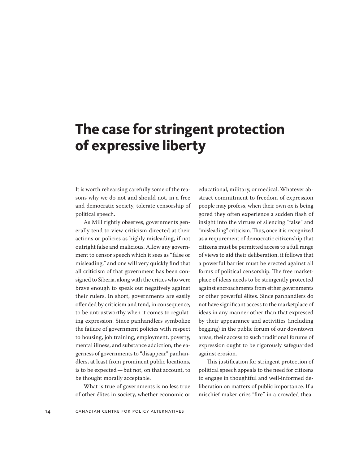### <span id="page-13-0"></span>**The case for stringent protection of expressive liberty**

It is worth rehearsing carefully some of the reasons why we do not and should not, in a free and democratic society, tolerate censorship of political speech.

As Mill rightly observes, governments generally tend to view criticism directed at their actions or policies as highly misleading, if not outright false and malicious. Allow any government to censor speech which it sees as "false or misleading," and one will very quickly find that all criticism of that government has been consigned to Siberia, along with the critics who were brave enough to speak out negatively against their rulers. In short, governments are easily offended by criticism and tend, in consequence, to be untrustworthy when it comes to regulating expression. Since panhandlers symbolize the failure of government policies with respect to housing, job training, employment, poverty, mental illness, and substance addiction, the eagerness of governments to "disappear" panhandlers, at least from prominent public locations, is to be expected—but not, on that account, to be thought morally acceptable.

What is true of governments is no less true of other élites in society, whether economic or

educational, military, or medical. Whatever abstract commitment to freedom of expression people may profess, when their own ox is being gored they often experience a sudden flash of insight into the virtues of silencing "false" and "misleading" criticism. Thus, once it is recognized as a requirement of democratic citizenship that citizens must be permitted access to a full range of views to aid their deliberation, it follows that a powerful barrier must be erected against all forms of political censorship. The free marketplace of ideas needs to be stringently protected against encroachments from either governments or other powerful élites. Since panhandlers do not have significant access to the marketplace of ideas in any manner other than that expressed by their appearance and activities (including begging) in the public forum of our downtown areas, their access to such traditional forums of expression ought to be rigorously safeguarded against erosion.

This justification for stringent protection of political speech appeals to the need for citizens to engage in thoughtful and well-informed deliberation on matters of public importance. If a mischief-maker cries "fire" in a crowded thea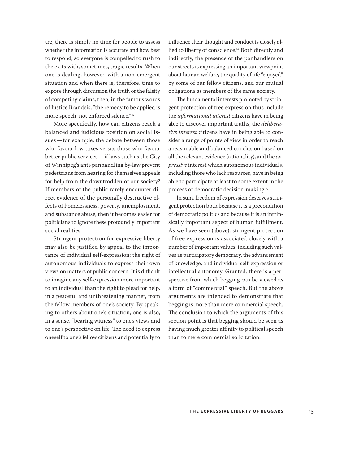tre, there is simply no time for people to assess whether the information is accurate and how best to respond, so everyone is compelled to rush to the exits with, sometimes, tragic results. When one is dealing, however, with a non-emergent situation and when there is, therefore, time to expose through discussion the truth or the falsity of competing claims, then, in the famous words of Justice Brandeis, "the remedy to be applied is more speech, not enforced silence."15

More specifically, how can citizens reach a balanced and judicious position on social issues—for example, the debate between those who favour low taxes versus those who favour better public services—if laws such as the City of Winnipeg's anti-panhandling by-law prevent pedestrians from hearing for themselves appeals for help from the downtrodden of our society? If members of the public rarely encounter direct evidence of the personally destructive effects of homelessness, poverty, unemployment, and substance abuse, then it becomes easier for politicians to ignore these profoundly important social realities.

Stringent protection for expressive liberty may also be justified by appeal to the importance of individual self-expression: the right of autonomous individuals to express their own views on matters of public concern. It is difficult to imagine any self-expression more important to an individual than the right to plead for help, in a peaceful and unthreatening manner, from the fellow members of one's society. By speaking to others about one's situation, one is also, in a sense, "bearing witness" to one's views and to one's perspective on life. The need to express oneself to one's fellow citizens and potentially to

influence their thought and conduct is closely allied to liberty of conscience.<sup>16</sup> Both directly and indirectly, the presence of the panhandlers on our streets is expressing an important viewpoint about human welfare, the quality of life "enjoyed" by some of our fellow citizens, and our mutual obligations as members of the same society.

The fundamental interests promoted by stringent protection of free expression thus include the *informational interest* citizens have in being able to discover important truths, the *deliberative interest* citizens have in being able to consider a range of points of view in order to reach a reasonable and balanced conclusion based on all the relevant evidence (rationality), and the *expressive* interest which autonomous individuals, including those who lack resources, have in being able to participate at least to some extent in the process of democratic decision-making.<sup>17</sup>

In sum, freedom of expression deserves stringent protection both because it is a precondition of democratic politics and because it is an intrinsically important aspect of human fulfillment. As we have seen (above), stringent protection of free expression is associated closely with a number of important values, including such values as participatory democracy, the advancement of knowledge, and individual self-expression or intellectual autonomy. Granted, there is a perspective from which begging can be viewed as a form of "commercial" speech. But the above arguments are intended to demonstrate that begging is more than mere commercial speech. The conclusion to which the arguments of this section point is that begging should be seen as having much greater affinity to political speech than to mere commercial solicitation.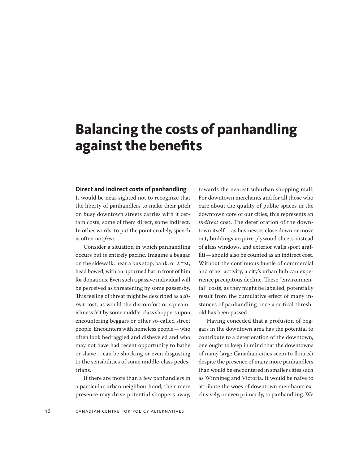# <span id="page-15-0"></span>**Balancing the costs of panhandling against the benefits**

#### **Direct and indirect costs of panhandling**

It would be near-sighted not to recognize that the liberty of panhandlers to make their pitch on busy downtown streets carries with it certain costs, some of them direct, some indirect. In other words, to put the point crudely, speech is often not *free*.

Consider a situation in which panhandling occurs but is entirely pacific. Imagine a beggar on the sidewalk, near a bus stop, bank, or ATM, head bowed, with an upturned hat in front of him for donations. Even such a passive individual will be perceived as threatening by some passersby. This feeling of threat might be described as a *direct* cost, as would the discomfort or squeamishness felt by some middle-class shoppers upon encountering beggars or other so-called street people. Encounters with homeless people—who often look bedraggled and disheveled and who may not have had recent opportunity to bathe or shave—can be shocking or even disgusting to the sensibilities of some middle-class pedestrians.

If there are more than a few panhandlers in a particular urban neighbourhood, their mere presence may drive potential shoppers away,

towards the nearest suburban shopping mall. For downtown merchants and for all those who care about the quality of public spaces in the downtown core of our cities, this represents an *indirect* cost. The deterioration of the downtown itself—as businesses close down or move out, buildings acquire plywood sheets instead of glass windows, and exterior walls sport graffiti—should also be counted as an indirect cost. Without the continuous bustle of commercial and other activity, a city's urban hub can experience precipitous decline. These "environmental" costs, as they might be labelled, potentially result from the cumulative effect of many instances of panhandling once a critical threshold has been passed.

Having conceded that a profusion of beggars in the downtown area has the potential to contribute to a deterioration of the downtown, one ought to keep in mind that the downtowns of many large Canadian cities seem to flourish despite the presence of many more panhandlers than would be encountered in smaller cities such as Winnipeg and Victoria. It would be naïve to attribute the woes of downtown merchants exclusively, or even primarily, to panhandling. We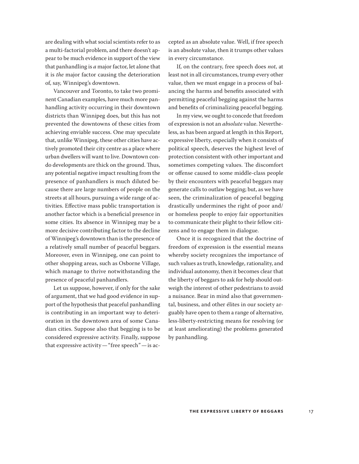are dealing with what social scientists refer to as a multi-factorial problem, and there doesn't appear to be much evidence in support of the view that panhandling is *a* major factor, let alone that it is *the* major factor causing the deterioration of, say, Winnipeg's downtown.

Vancouver and Toronto, to take two prominent Canadian examples, have much more panhandling activity occurring in their downtown districts than Winnipeg does, but this has not prevented the downtowns of these cities from achieving enviable success. One may speculate that, unlike Winnipeg, these other cities have actively promoted their city centre as a place where urban dwellers will want to live. Downtown condo developments are thick on the ground. Thus, any potential negative impact resulting from the presence of panhandlers is much diluted because there are large numbers of people on the streets at all hours, pursuing a wide range of activities. Effective mass public transportation is another factor which is a beneficial presence in some cities. Its absence in Winnipeg may be a more decisive contributing factor to the decline of Winnipeg's downtown than is the presence of a relatively small number of peaceful beggars. Moreover, even in Winnipeg, one can point to other shopping areas, such as Osborne Village, which manage to thrive notwithstanding the presence of peaceful panhandlers.

Let us suppose, however, if only for the sake of argument, that we had good evidence in support of the hypothesis that peaceful panhandling is contributing in an important way to deterioration in the downtown area of some Canadian cities. Suppose also that begging is to be considered expressive activity. Finally, suppose that expressive activity—"free speech"—is accepted as an absolute value. Well, if free speech is an absolute value, then it trumps other values in every circumstance.

If, on the contrary, free speech does *not*, at least not in all circumstances, trump every other value, then we must engage in a process of balancing the harms and benefits associated with permitting peaceful begging against the harms and benefits of criminalizing peaceful begging.

In my view, we ought to concede that freedom of expression is not an *absolute* value. Nevertheless, as has been argued at length in this Report, expressive liberty, especially when it consists of political speech, deserves the highest level of protection consistent with other important and sometimes competing values. The discomfort or offense caused to some middle-class people by their encounters with peaceful beggars may generate calls to outlaw begging; but, as we have seen, the criminalization of peaceful begging drastically undermines the right of poor and/ or homeless people to enjoy fair opportunities to communicate their plight to their fellow citizens and to engage them in dialogue.

Once it is recognized that the doctrine of freedom of expression is the essential means whereby society recognizes the importance of such values as truth, knowledge, rationality, and individual autonomy, then it becomes clear that the liberty of beggars to ask for help should outweigh the interest of other pedestrians to avoid a nuisance. Bear in mind also that governmental, business, and other élites in our society arguably have open to them a range of alternative, less-liberty-restricting means for resolving (or at least ameliorating) the problems generated by panhandling.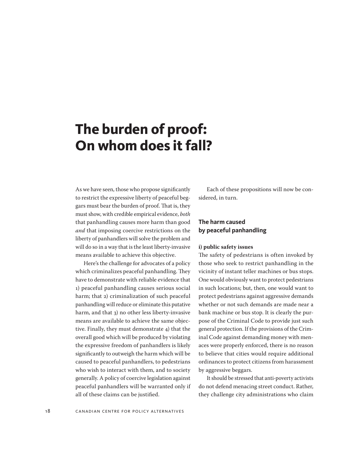# <span id="page-17-0"></span>**The burden of proof: On whom does it fall?**

As we have seen, those who propose significantly to restrict the expressive liberty of peaceful beggars must bear the burden of proof. That is, they must show, with credible empirical evidence, *both* that panhandling causes more harm than good *and* that imposing coercive restrictions on the liberty of panhandlers will solve the problem and will do so in a way that is the least liberty-invasive means available to achieve this objective.

Here's the challenge for advocates of a policy which criminalizes peaceful panhandling. They have to demonstrate with reliable evidence that 1) peaceful panhandling causes serious social harm; that 2) criminalization of such peaceful panhandling will reduce or eliminate this putative harm, and that 3) no other less liberty-invasive means are available to achieve the same objective. Finally, they must demonstrate 4) that the overall good which will be produced by violating the expressive freedom of panhandlers is likely significantly to outweigh the harm which will be caused to peaceful panhandlers, to pedestrians who wish to interact with them, and to society generally. A policy of coercive legislation against peaceful panhandlers will be warranted only if all of these claims can be justified.

Each of these propositions will now be considered, in turn.

### **The harm caused by peaceful panhandling**

#### **i) public safety issues**

The safety of pedestrians is often invoked by those who seek to restrict panhandling in the vicinity of instant teller machines or bus stops. One would obviously want to protect pedestrians in such locations; but, then, one would want to protect pedestrians against aggressive demands whether or not such demands are made near a bank machine or bus stop. It is clearly the purpose of the Criminal Code to provide just such general protection. If the provisions of the Criminal Code against demanding money with menaces were properly enforced, there is no reason to believe that cities would require additional ordinances to protect citizens from harassment by aggressive beggars.

It should be stressed that anti-poverty activists do not defend menacing street conduct. Rather, they challenge city administrations who claim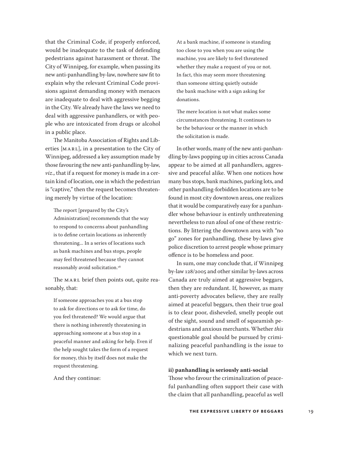that the Criminal Code, if properly enforced, would be inadequate to the task of defending pedestrians against harassment or threat. The City of Winnipeg, for example, when passing its new anti-panhandling by-law, nowhere saw fit to explain why the relevant Criminal Code provisions against demanding money with menaces are inadequate to deal with aggressive begging in the City. We already have the laws we need to deal with aggressive panhandlers, or with people who are intoxicated from drugs or alcohol in a public place.

The Manitoba Association of Rights and Liberties [MARL], in a presentation to the City of Winnipeg, addressed a key assumption made by those favouring the new anti-panhandling by-law, *viz*., that if a request for money is made in a certain kind of location, one in which the pedestrian is "captive," then the request becomes threatening merely by virtue of the location:

The report [prepared by the City's Administration] recommends that the way to respond to concerns about panhandling is to define certain locations as inherently threatening... In a series of locations such as bank machines and bus stops, people may feel threatened because they cannot reasonably avoid solicitation.<sup>18</sup>

The MARL brief then points out, quite reasonably, that:

If someone approaches you at a bus stop to ask for directions or to ask for time, do you feel threatened? We would argue that there is nothing inherently threatening in approaching someone at a bus stop in a peaceful manner and asking for help. Even if the help sought takes the form of a request for money, this by itself does not make the request threatening.

And they continue:

At a bank machine, if someone is standing too close to you when you are using the machine, you are likely to feel threatened whether they make a request of you or not. In fact, this may seem more threatening than someone sitting quietly outside the bank machine with a sign asking for donations.

The mere location is not what makes some circumstances threatening. It continues to be the behaviour or the manner in which the solicitation is made.

In other words, many of the new anti-panhandling by-laws popping up in cities across Canada appear to be aimed at all panhandlers, aggressive and peaceful alike. When one notices how many bus stops, bank machines, parking lots, and other panhandling-forbidden locations are to be found in most city downtown areas, one realizes that it would be comparatively easy for a panhandler whose behaviour is entirely unthreatening nevertheless to run afoul of one of these restrictions. By littering the downtown area with "no go" zones for panhandling, these by-laws give police discretion to arrest people whose primary offence is to be homeless and poor.

In sum, one may conclude that, if Winnipeg by-law 128/2005 and other similar by-laws across Canada are truly aimed at aggressive beggars, then they are redundant. If, however, as many anti-poverty advocates believe, they are really aimed at peaceful beggars, then their true goal is to clear poor, disheveled, smelly people out of the sight, sound and smell of squeamish pedestrians and anxious merchants. Whether *this*  questionable goal should be pursued by criminalizing peaceful panhandling is the issue to which we next turn.

#### **ii) panhandling is seriously anti-social**

Those who favour the criminalization of peaceful panhandling often support their case with the claim that all panhandling, peaceful as well

**THE EXPRESSIVE LIBERTY OF BEGGARS** 19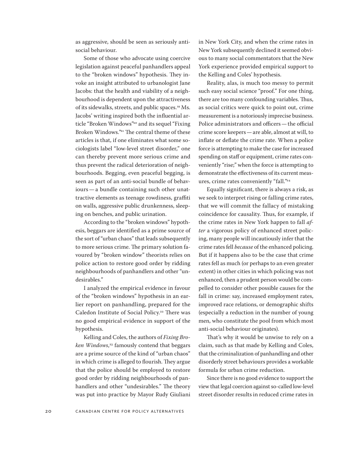as aggressive, should be seen as seriously antisocial behaviour.

Some of those who advocate using coercive legislation against peaceful panhandlers appeal to the "broken windows" hypothesis. They invoke an insight attributed to urbanologist Jane Jacobs: that the health and viability of a neighbourhood is dependent upon the attractiveness of its sidewalks, streets, and public spaces.<sup>19</sup> Ms. Jacobs' writing inspired both the influential article "Broken Windows"<sup>20</sup> and its sequel "Fixing Broken Windows."<sup>21</sup> The central theme of these articles is that, if one eliminates what some sociologists label "low-level street disorder," one can thereby prevent more serious crime and thus prevent the radical deterioration of neighbourhoods. Begging, even peaceful begging, is seen as part of an anti-social bundle of behaviours—a bundle containing such other unattractive elements as teenage rowdiness, graffiti on walls, aggressive public drunkenness, sleeping on benches, and public urination.

According to the "broken windows" hypothesis, beggars are identified as a prime source of the sort of "urban chaos" that leads subsequently to more serious crime. The primary solution favoured by "broken window" theorists relies on police action to restore good order by ridding neighbourhoods of panhandlers and other "undesirables."

I analyzed the empirical evidence in favour of the "broken windows" hypothesis in an earlier report on panhandling, prepared for the Caledon Institute of Social Policy.<sup>22</sup> There was no good empirical evidence in support of the hypothesis.

Kelling and Coles, the authors of *Fixing Broken Windows*, <sup>23</sup> famously contend that beggars are a prime source of the kind of "urban chaos" in which crime is alleged to flourish. They argue that the police should be employed to restore good order by ridding neighbourhoods of panhandlers and other "undesirables." The theory was put into practice by Mayor Rudy Giuliani

in New York City, and when the crime rates in New York subsequently declined it seemed obvious to many social commentators that the New York experience provided empirical support to the Kelling and Coles' hypothesis.

Reality, alas, is much too messy to permit such easy social science "proof." For one thing, there are too many confounding variables. Thus, as social critics were quick to point out, crime measurement is a notoriously imprecise business. Police administrators and officers—the official crime score keepers—are able, almost at will, to inflate or deflate the crime rate. When a police force is attempting to make the case for increased spending on staff or equipment, crime rates conveniently "rise;" when the force is attempting to demonstrate the effectiveness of its current measures, crime rates conveniently "fall."<sup>24</sup>

Equally significant, there is always a risk, as we seek to interpret rising or falling crime rates, that we will commit the fallacy of mistaking coincidence for causality. Thus, for example, if the crime rates in New York happen to fall *after* a vigorous policy of enhanced street policing, many people will incautiously infer that the crime rates fell *because* of the enhanced policing. But if it happens also to be the case that crime rates fell as much (or perhaps to an even greater extent) in other cities in which policing was not enhanced, then a prudent person would be compelled to consider other possible causes for the fall in crime: say, increased employment rates, improved race relations, or demographic shifts (especially a reduction in the number of young men, who constitute the pool from which most anti-social behaviour originates).

That's why it would be unwise to rely on a claim, such as that made by Kelling and Coles, that the criminalization of panhandling and other disorderly street behaviours provides a workable formula for urban crime reduction.

Since there is no good evidence to support the view that legal coercion against so-called low-level street disorder results in reduced crime rates in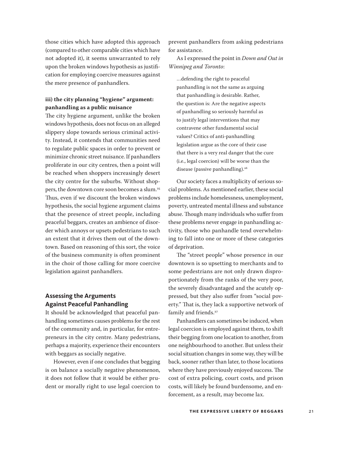those cities which have adopted this approach (compared to other comparable cities which have not adopted it), it seems unwarranted to rely upon the broken windows hypothesis as justification for employing coercive measures against the mere presence of panhandlers.

### **iii) the city planning "hygiene" argument: panhandling as a public nuisance**

The city hygiene argument, unlike the broken windows hypothesis, does not focus on an alleged slippery slope towards serious criminal activity. Instead, it contends that communities need to regulate public spaces in order to prevent or minimize chronic street nuisance. If panhandlers proliferate in our city centres, then a point will be reached when shoppers increasingly desert the city centre for the suburbs. Without shoppers, the downtown core soon becomes a slum.<sup>25</sup> Thus, even if we discount the broken windows hypothesis, the social hygiene argument claims that the presence of street people, including peaceful beggars, creates an ambience of disorder which annoys or upsets pedestrians to such an extent that it drives them out of the downtown. Based on reasoning of this sort, the voice of the business community is often prominent in the choir of those calling for more coercive legislation against panhandlers.

### **Assessing the Arguments Against Peaceful Panhandling**

It should be acknowledged that peaceful panhandling sometimes causes problems for the rest of the community and, in particular, for entrepreneurs in the city centre. Many pedestrians, perhaps a majority, experience their encounters with beggars as socially negative.

However, even if one concludes that begging is on balance a socially negative phenomenon, it does not follow that it would be either prudent or morally right to use legal coercion to

prevent panhandlers from asking pedestrians for assistance.

As I expressed the point in *Down and Out in Winnipeg and Toronto*:

…defending the right to peaceful panhandling is not the same as arguing that panhandling is desirable. Rather, the question is: Are the negative aspects of panhandling so seriously harmful as to justify legal interventions that may contravene other fundamental social values? Critics of anti-panhandling legislation argue as the core of their case that there is a very real danger that the cure (i.e., legal coercion) will be worse than the disease (passive panhandling).<sup>26</sup>

Our society faces a multiplicity of serious social problems. As mentioned earlier, these social problems include homelessness, unemployment, poverty, untreated mental illness and substance abuse. Though many individuals who suffer from these problems never engage in panhandling activity, those who panhandle tend overwhelming to fall into one or more of these categories of deprivation.

The "street people" whose presence in our downtown is so upsetting to merchants and to some pedestrians are not only drawn disproportionately from the ranks of the very poor, the severely disadvantaged and the acutely oppressed, but they also suffer from "social poverty." That is, they lack a supportive network of family and friends.<sup>27</sup>

Panhandlers can sometimes be induced, when legal coercion is employed against them, to shift their begging from one location to another, from one neighbourhood to another. But unless their social situation changes in some way, they will be back, sooner rather than later, to those locations where they have previously enjoyed success. The cost of extra policing, court costs, and prison costs, will likely be found burdensome, and enforcement, as a result, may become lax.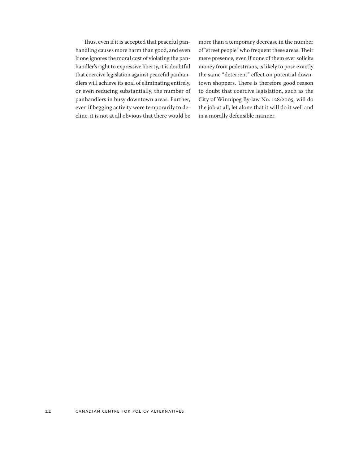Thus, even if it is accepted that peaceful panhandling causes more harm than good, and even if one ignores the moral cost of violating the panhandler's right to expressive liberty, it is doubtful that coercive legislation against peaceful panhandlers will achieve its goal of eliminating entirely, or even reducing substantially, the number of panhandlers in busy downtown areas. Further, even if begging activity were temporarily to decline, it is not at all obvious that there would be more than a temporary decrease in the number of "street people" who frequent these areas. Their mere presence, even if none of them ever solicits money from pedestrians, is likely to pose exactly the same "deterrent" effect on potential downtown shoppers. There is therefore good reason to doubt that coercive legislation, such as the City of Winnipeg By-law No. 128/2005, will do the job at all, let alone that it will do it well and in a morally defensible manner.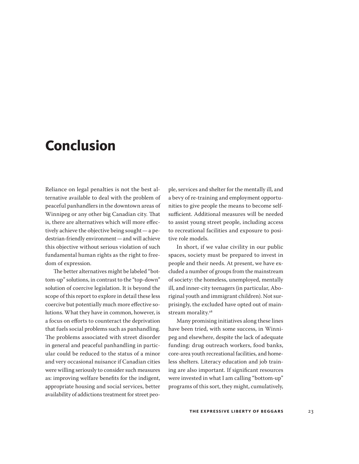### <span id="page-22-0"></span>**Conclusion**

Reliance on legal penalties is not the best alternative available to deal with the problem of peaceful panhandlers in the downtown areas of Winnipeg or any other big Canadian city. That is, there are alternatives which will more effectively achieve the objective being sought—a pedestrian-friendly environment—and will achieve this objective without serious violation of such fundamental human rights as the right to freedom of expression.

The better alternatives might be labeled "bottom-up" solutions, in contrast to the "top-down" solution of coercive legislation. It is beyond the scope of this report to explore in detail these less coercive but potentially much more effective solutions. What they have in common, however, is a focus on efforts to counteract the deprivation that fuels social problems such as panhandling. The problems associated with street disorder in general and peaceful panhandling in particular could be reduced to the status of a minor and very occasional nuisance if Canadian cities were willing seriously to consider such measures as: improving welfare benefits for the indigent, appropriate housing and social services, better availability of addictions treatment for street peo-

ple, services and shelter for the mentally ill, and a bevy of re-training and employment opportunities to give people the means to become selfsufficient. Additional measures will be needed to assist young street people, including access to recreational facilities and exposure to positive role models.

In short, if we value civility in our public spaces, society must be prepared to invest in people and their needs. At present, we have excluded a number of groups from the mainstream of society: the homeless, unemployed, mentally ill, and inner-city teenagers (in particular, Aboriginal youth and immigrant children). Not surprisingly, the excluded have opted out of mainstream morality.<sup>28</sup>

Many promising initiatives along these lines have been tried, with some success, in Winnipeg and elsewhere, despite the lack of adequate funding: drug outreach workers, food banks, core-area youth recreational facilities, and homeless shelters. Literacy education and job training are also important. If significant resources were invested in what I am calling "bottom-up" programs of this sort, they might, cumulatively,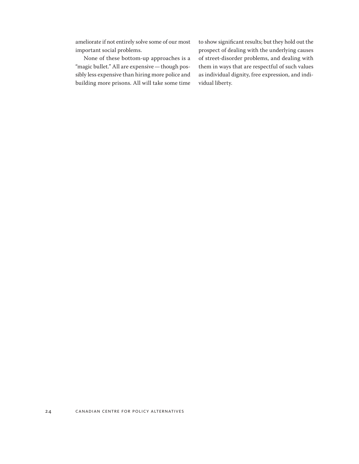ameliorate if not entirely solve some of our most important social problems.

None of these bottom-up approaches is a "magic bullet." All are expensive—though possibly less expensive than hiring more police and building more prisons. All will take some time

to show significant results; but they hold out the prospect of dealing with the underlying causes of street-disorder problems, and dealing with them in ways that are respectful of such values as individual dignity, free expression, and individual liberty.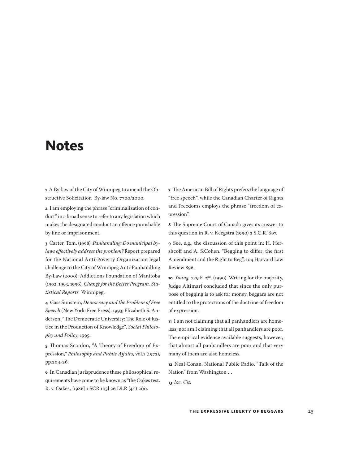### <span id="page-24-0"></span>**Notes**

**1** A By-law of the City of Winnipeg to amend the Obstructive Solicitation By-law No. 7700/2000.

**2** I am employing the phrase "criminalization of conduct" in a broad sense to refer to any legislation which makes the designated conduct an offence punishable by fine or imprisonment.

**3** Carter, Tom. (1998). *Panhandling: Do municipal bylaws effectively address the problem?* Report prepared for the National Anti-Poverty Organization legal challenge to the City of Winnipeg Anti-Panhandling By-Law (2000); Addictions Foundation of Manitoba (1992, 1993, 1996), *Change for the Better Program. Statistical Reports.* Winnipeg.

**4** Cass Sunstein, *Democracy and the Problem of Free Speech* (New York: Free Press), 1993; Elizabeth S. Anderson, "The Democratic University: The Role of Justice in the Production of Knowledge", *Social Philosophy and Policy*, 1995.

**5** Thomas Scanlon, "A Theory of Freedom of Expression," *Philosophy and Public Affairs*, vol.1 (1972), pp.204-26.

**6** In Canadian jurisprudence these philosophical requirements have come to be known as "the Oakes test. R. v. Oakes, [1986] 1 SCR 103l 26 DLR (4th) 200.

**7** The American Bill of Rights prefers the language of "free speech", while the Canadian Charter of Rights and Freedoms employs the phrase "freedom of expression".

**8** The Supreme Court of Canada gives its answer to this question in R. v. Keegstra (1990) 3 S.C.R. 697.

**9** See, e.g., the discussion of this point in: H. Hershcoff and A. S.Cohen, "Begging to differ: the first Amendment and the Right to Beg", 104 Harvard Law Review 896.

**10** *Young,* 729 F. 2nd. (1990). Writing for the majority, Judge Altimari concluded that since the only purpose of begging is to ask for money, beggars are not entitled to the protections of the doctrine of freedom of expression.

**11** I am not claiming that all panhandlers are homeless; nor am I claiming that all panhandlers are poor. The empirical evidence available suggests, however, that almost all panhandlers are poor and that very many of them are also homeless.

**12** Neal Conan, National Public Radio, "Talk of the Nation" from Washington …

**13** *loc. Cit.*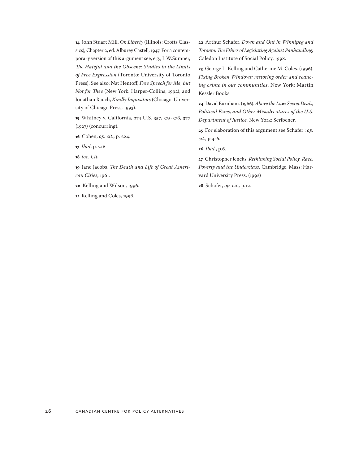**14** John Stuart Mill, *On Liberty* (Illinois: Crofts Classics), Chapter 2, ed. Alburey Castell, 1947. For a contemporary version of this argument see, e.g., L.W.Sumner, *The Hateful and the Obscene: Studies in the Limits of Free Expression* (Toronto: University of Toronto Press). See also: Nat Hentoff, *Free Speech for Me, but Not for Thee* (New York: Harper-Collins, 1992); and Jonathan Rauch, *Kindly Inquisitors* (Chicago: University of Chicago Press, 1993).

**15** Whitney v. California, 274 U.S. 357, 375-376, 377 (1927) (concurring).

**16** Cohen, *op. cit.*, p. 224.

**17** *Ibid*, p. 216*.*

**18** *loc. Cit.*

**19** Jane Jacobs, *The Death and Life of Great American Cities*, 1961.

**20** Kelling and Wilson, 1996.

**21** Kelling and Coles, 1996.

**22** Arthur Schafer, *Down and Out in Winnipeg and Toronto: The Ethics of Legislating Against Panhandling,*  Caledon Institute of Social Policy, 1998.

**23** George L. Kelling and Catherine M. Coles. (1996). *Fixing Broken Windows: restoring order and reducing crime in our communities*. New York: Martin Kessler Books.

**24** David Burnham. (1966). *Above the Law: Secret Deals, Political Fixes, and Other Misadventures of the U.S. Department of Justice.* New York: Scribener.

**25** For elaboration of this argument see Schafer : *op. cit*., p.4-6.

**26** *Ibid.*, p.6.

**27** Christopher Jencks. *Rethinking Social Policy, Race, Poverty and the Underclass.* Cambridge, Mass: Harvard University Press. (1992)

**28** Schafer, *op. cit.,* p.12.